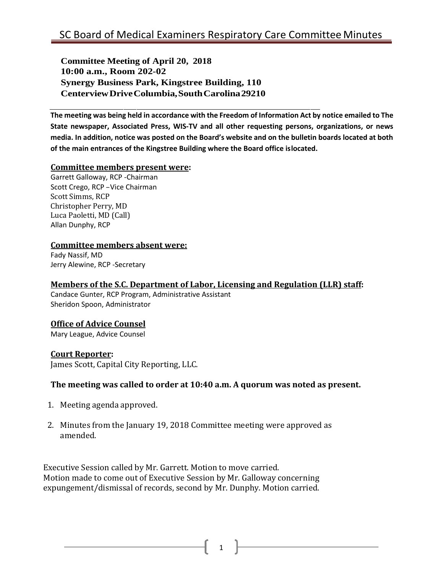**Committee Meeting of April 20, 2018 10:00 a.m., Room 202-02 Synergy Business Park, Kingstree Building, 110 CenterviewDriveColumbia,SouthCarolina29210**

**The meeting was being held in accordance with the Freedom of Information Act by notice emailed to The State newspaper, Associated Press, WIS-TV and all other requesting persons, organizations, or news media. In addition, notice was posted on the Board's website and on the bulletin boards located at both of the main entrances of the Kingstree Building where the Board office islocated.**

#### **Committee members present were:**

Garrett Galloway, RCP -Chairman Scott Crego, RCP –Vice Chairman Scott Simms, RCP Christopher Perry, MD Luca Paoletti, MD (Call) Allan Dunphy, RCP

#### **Committee members absent were:**

Fady Nassif, MD Jerry Alewine, RCP -Secretary

#### **Members of the S.C. Department of Labor, Licensing and Regulation (LLR) staff:**

Candace Gunter, RCP Program, Administrative Assistant Sheridon Spoon, Administrator

## **Office of Advice Counsel**

Mary League, Advice Counsel

## **Court Reporter:**

James Scott, Capital City Reporting, LLC.

## **The meeting was called to order at 10:40 a.m. A quorum was noted as present.**

- 1. Meeting agenda approved.
- 2. Minutes from the January 19, 2018 Committee meeting were approved as amended.

Executive Session called by Mr. Garrett. Motion to move carried. Motion made to come out of Executive Session by Mr. Galloway concerning expungement/dismissal of records, second by Mr. Dunphy. Motion carried.

 $1 \quad \parallel$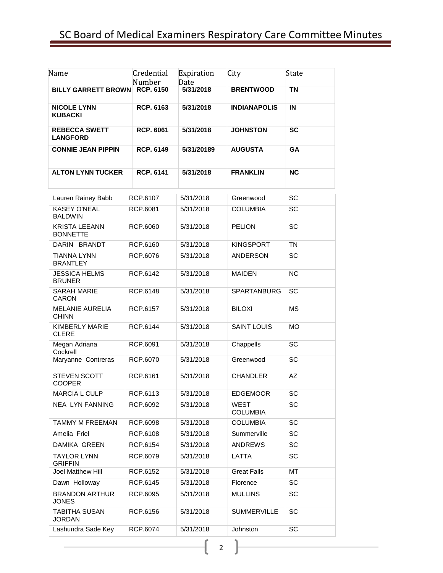# SC Board of Medical Examiners Respiratory Care Committee Minutes

| Name                                    | Credential<br>Number | Expiration<br>Date | City                           | State          |  |  |  |
|-----------------------------------------|----------------------|--------------------|--------------------------------|----------------|--|--|--|
| <b>BILLY GARRETT BROWN</b>              | <b>RCP. 6150</b>     | 5/31/2018          | <b>BRENTWOOD</b>               | <b>TN</b>      |  |  |  |
| <b>NICOLE LYNN</b><br><b>KUBACKI</b>    | <b>RCP. 6163</b>     | 5/31/2018          | <b>INDIANAPOLIS</b>            | $\blacksquare$ |  |  |  |
| <b>REBECCA SWETT</b><br><b>LANGFORD</b> | <b>RCP. 6061</b>     | 5/31/2018          | <b>JOHNSTON</b>                | <b>SC</b>      |  |  |  |
| <b>CONNIE JEAN PIPPIN</b>               | <b>RCP. 6149</b>     | 5/31/20189         | <b>AUGUSTA</b>                 | GA             |  |  |  |
| <b>ALTON LYNN TUCKER</b>                | <b>RCP. 6141</b>     | 5/31/2018          | <b>FRANKLIN</b>                | <b>NC</b>      |  |  |  |
| Lauren Rainey Babb                      | RCP.6107             | 5/31/2018          | Greenwood                      | <b>SC</b>      |  |  |  |
| <b>KASEY O'NEAL</b><br><b>BALDWIN</b>   | RCP.6081             | 5/31/2018          | <b>COLUMBIA</b>                | SC             |  |  |  |
| <b>KRISTA LEEANN</b><br><b>BONNETTE</b> | RCP.6060             | 5/31/2018          | <b>PELION</b>                  | SC             |  |  |  |
| DARIN BRANDT                            | RCP.6160             | 5/31/2018          | <b>KINGSPORT</b>               | <b>TN</b>      |  |  |  |
| <b>TIANNA LYNN</b><br><b>BRANTLEY</b>   | RCP.6076             | 5/31/2018          | <b>ANDERSON</b>                | SC             |  |  |  |
| <b>JESSICA HELMS</b><br><b>BRUNER</b>   | RCP.6142             | 5/31/2018          | <b>MAIDEN</b>                  | <b>NC</b>      |  |  |  |
| <b>SARAH MARIE</b><br>CARON             | RCP.6148             | 5/31/2018          | <b>SPARTANBURG</b>             | SC             |  |  |  |
| <b>MELANIE AURELIA</b><br><b>CHINN</b>  | RCP.6157             | 5/31/2018          | <b>BILOXI</b>                  | <b>MS</b>      |  |  |  |
| KIMBERLY MARIE<br><b>CLERE</b>          | RCP.6144             | 5/31/2018          | <b>SAINT LOUIS</b>             | <b>MO</b>      |  |  |  |
| Megan Adriana<br>Cockrell               | RCP.6091             | 5/31/2018          | Chappells                      | SC             |  |  |  |
| Maryanne Contreras                      | RCP.6070             | 5/31/2018          | Greenwood                      | SC             |  |  |  |
| <b>STEVEN SCOTT</b><br><b>COOPER</b>    | RCP.6161             | 5/31/2018          | <b>CHANDLER</b>                | AZ             |  |  |  |
| <b>MARCIA L CULP</b>                    | RCP.6113             | 5/31/2018          | <b>EDGEMOOR</b>                | SC             |  |  |  |
| <b>NEA LYN FANNING</b>                  | RCP.6092             | 5/31/2018          | <b>WEST</b><br><b>COLUMBIA</b> | SC             |  |  |  |
| <b>TAMMY M FREEMAN</b>                  | RCP.6098             | 5/31/2018          | <b>COLUMBIA</b>                | SC             |  |  |  |
| Amelia Friel                            | RCP.6108             | 5/31/2018          | Summerville                    | <b>SC</b>      |  |  |  |
| DAMIKA GREEN                            | RCP.6154             | 5/31/2018          | <b>ANDREWS</b>                 | SC             |  |  |  |
| <b>TAYLOR LYNN</b><br><b>GRIFFIN</b>    | RCP.6079             | 5/31/2018          | <b>LATTA</b>                   | SC             |  |  |  |
| Joel Matthew Hill                       | RCP.6152             | 5/31/2018          | <b>Great Falls</b>             | МT             |  |  |  |
| Dawn Holloway                           | RCP.6145             | 5/31/2018          | Florence                       | SC             |  |  |  |
| <b>BRANDON ARTHUR</b><br><b>JONES</b>   | RCP.6095             | 5/31/2018          | <b>MULLINS</b>                 | <b>SC</b>      |  |  |  |
| <b>TABITHA SUSAN</b><br><b>JORDAN</b>   | RCP.6156             | 5/31/2018          | <b>SUMMERVILLE</b>             | SC             |  |  |  |
| Lashundra Sade Key                      | RCP.6074             | 5/31/2018          | Johnston                       | SC             |  |  |  |
|                                         |                      |                    |                                |                |  |  |  |